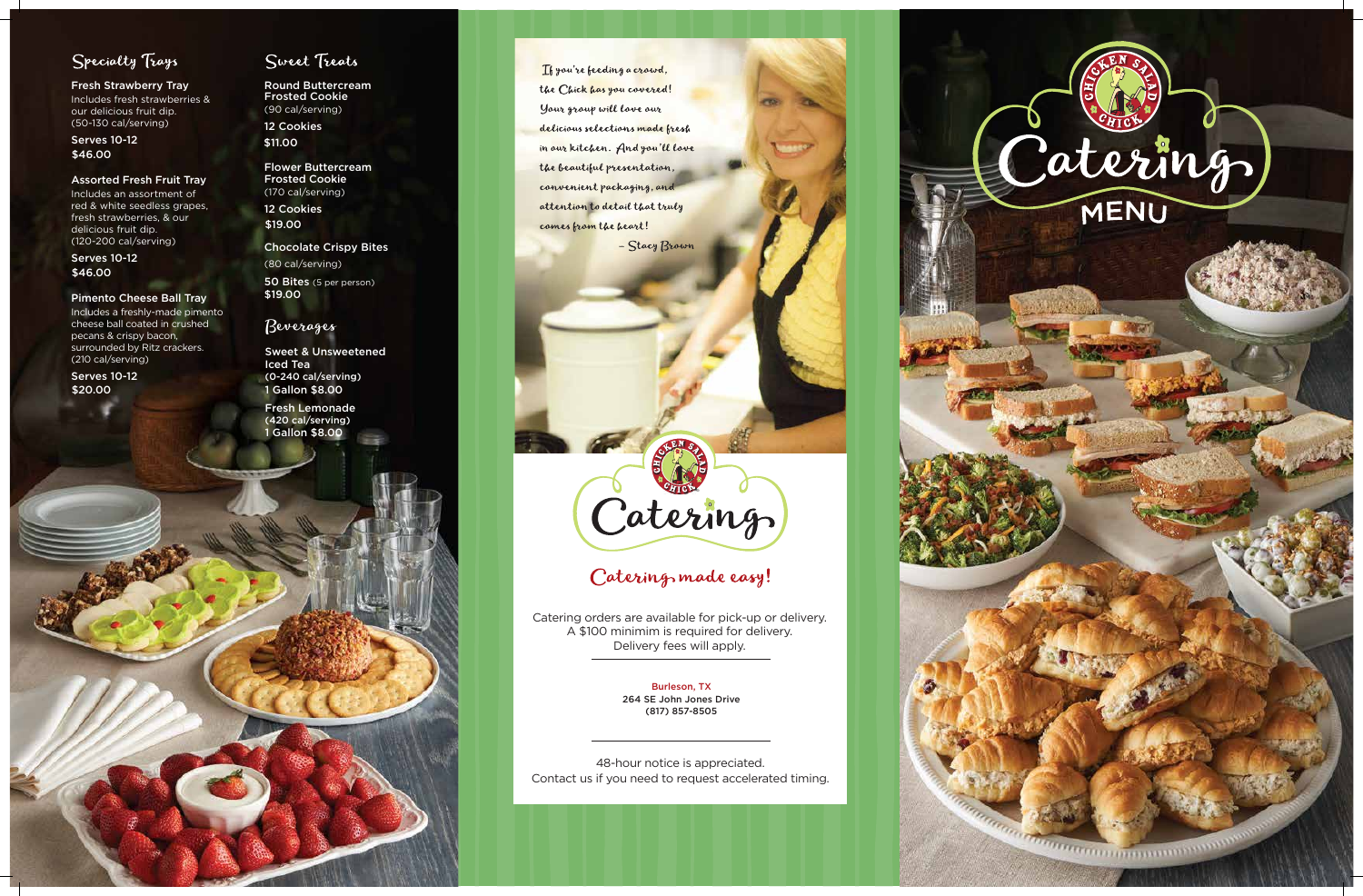

### Specialty Trays

Fresh Strawberry Tray

Includes fresh strawberries & our delicious fruit dip. (50-130 cal/serving)

#### Assorted Fresh Fruit Tray

Includes an assortment of red & white seedless grapes, fresh strawberries, & our delicious fruit dip. (120-200 cal/serving)

#### Pimento Cheese Ball Tray

Includes a freshly-made pimento cheese ball coated in crushed pecans & crispy bacon, surrounded by Ritz crackers. (210 cal/serving)

Serves 10-12 \$46.00

Serves 10-12 \$46.00

Flower Buttercream Frosted Cookie (170 cal/serving) 12 Cookies

Round Buttercream Frosted Cookie (90 cal/serving) 12 Cookies \$11.00

Serves 10-12 \$20.00

### Sweet Treats

Chocolate Crispy Bites

(80 cal/serving) 50 Bites (5 per person) \$19.00

\$19.00

48-hour notice is appreciated. Contact us if you need to request accelerated timing.



### Catering made easy!

1 Gallon \$8.00 Fresh Lemonade (420 cal/serving)

If you're feeding a crowd, the Chick has you covered! Your group will love our delicious selections made fresh in our kitchen. And you'll love the beautiful presentation, convenient packaging, and attention to detail that truly comes from the heart!

- Stacy Brown

Catering orders are available for pick-up or delivery. A \$100 minimim is required for delivery. Delivery fees will apply.

> Burleson, TX 264 SE John Jones Drive (817) 857-8505

1 Gallon \$8.00 Sweet & Unsweetened Iced Tea (0-240 cal/serving)

### Beverages